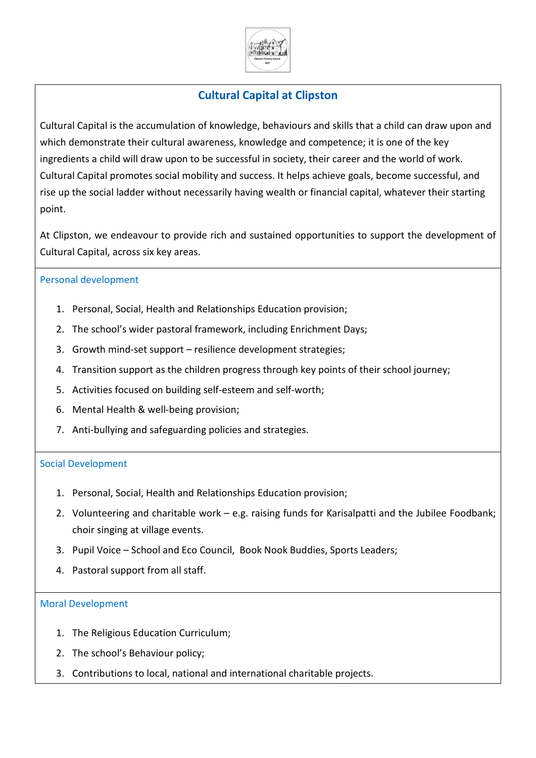

# **Cultural Capital at Clipston**

Cultural Capital is the accumulation of knowledge, behaviours and skills that a child can draw upon and which demonstrate their cultural awareness, knowledge and competence; it is one of the key ingredients a child will draw upon to be successful in society, their career and the world of work. Cultural Capital promotes social mobility and success. It helps achieve goals, become successful, and rise up the social ladder without necessarily having wealth or financial capital, whatever their starting point.

At Clipston, we endeavour to provide rich and sustained opportunities to support the development of Cultural Capital, across six key areas.

### Personal development

- 1. Personal, Social, Health and Relationships Education provision;
- 2. The school's wider pastoral framework, including Enrichment Days;
- 3. Growth mind-set support resilience development strategies;
- 4. Transition support as the children progress through key points of their school journey;
- 5. Activities focused on building self-esteem and self-worth;
- 6. Mental Health & well-being provision;
- 7. Anti-bullying and safeguarding policies and strategies.

#### Social Development

- 1. Personal, Social, Health and Relationships Education provision;
- 2. Volunteering and charitable work e.g. raising funds for Karisalpatti and the Jubilee Foodbank; choir singing at village events.
- 3. Pupil Voice School and Eco Council, Book Nook Buddies, Sports Leaders;
- 4. Pastoral support from all staff.

#### Moral Development

- 1. The Religious Education Curriculum;
- 2. The school's Behaviour policy;
- 3. Contributions to local, national and international charitable projects.